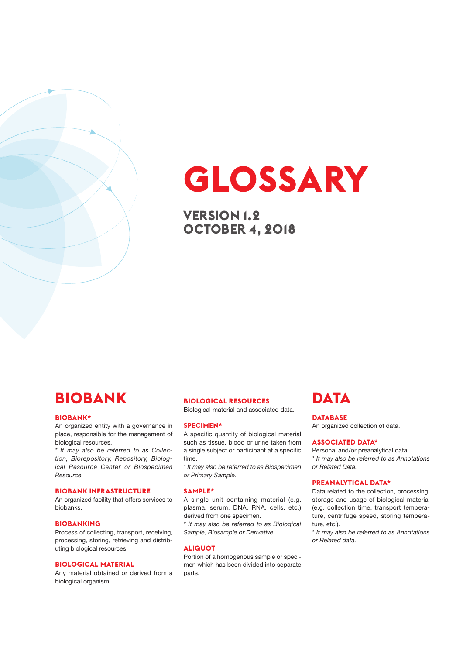# **GLOSSARY**

**VERSION 1.2 OCTOBER 4, 2018**

## **BIOBANK**

### **BIOBANK\***

An organized entity with a governance in place, responsible for the management of biological resources.

*\* It may also be referred to as Collection, Biorepository, Repository, Biological Resource Center or Biospecimen Resource.*

### **BIOBANK INFRASTRUCTURE**

An organized facility that offers services to biobanks.

### **BIOBANKING**

Process of collecting, transport, receiving, processing, storing, retrieving and distributing biological resources.

### **BIOLOGICAL MATERIAL**

Any material obtained or derived from a biological organism.

### **BIOLOGICAL RESOURCES**

Biological material and associated data.

#### **SPECIMEN\***

A specific quantity of biological material such as tissue, blood or urine taken from a single subject or participant at a specific time.

*\* It may also be referred to as Biospecimen or Primary Sample.*

### **SAMPLE\***

A single unit containing material (e.g. plasma, serum, DNA, RNA, cells, etc.) derived from one specimen.

*\* It may also be referred to as Biological Sample, Biosample or Derivative.*

### **ALIQUOT**

Portion of a homogenous sample or specimen which has been divided into separate parts.

## **DATA**

### **DATABASE**

An organized collection of data.

### **ASSOCIATED DATA\***

Personal and/or preanalytical data. *\* It may also be referred to as Annotations or Related Data.*

### **PREANALYTICAL DATA\***

Data related to the collection, processing, storage and usage of biological material (e.g. collection time, transport temperature, centrifuge speed, storing temperature, etc.).

*\* It may also be referred to as Annotations or Related data.*